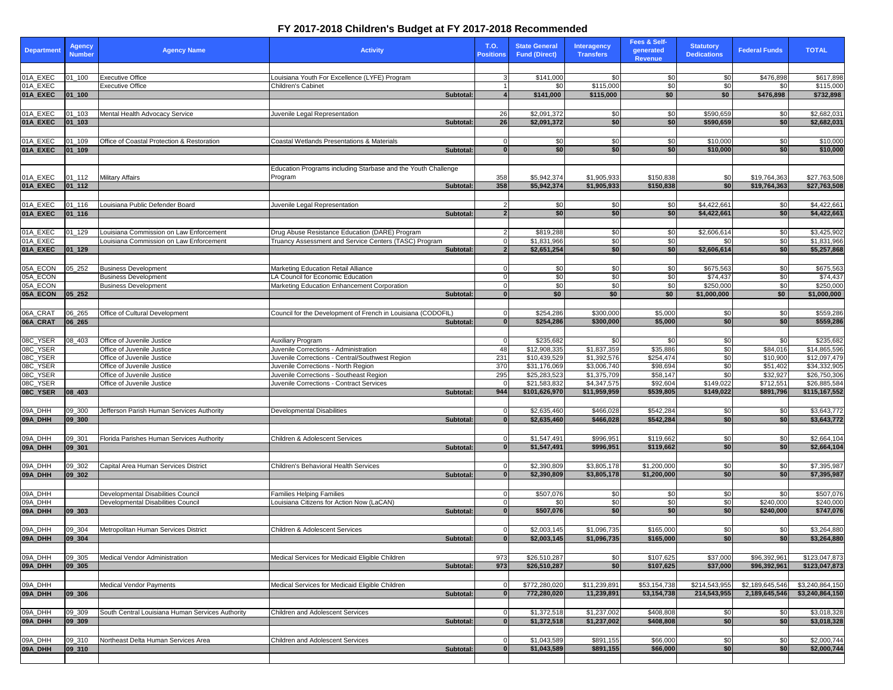| <b>Department</b>    | <b>Agency</b><br><b>Number</b> | <b>Agency Name</b>                                       | <b>Activity</b>                                                                        | <b>T.O.</b><br><b>Positions</b> | <b>State General</b><br><b>Fund (Direct)</b> | <b>Interagency</b><br><b>Transfers</b> | Fees & Self-<br>generated<br>Revenue | <b>Statutory</b><br><b>Dedications</b> | <b>Federal Funds</b> | <b>TOTAL</b>                 |
|----------------------|--------------------------------|----------------------------------------------------------|----------------------------------------------------------------------------------------|---------------------------------|----------------------------------------------|----------------------------------------|--------------------------------------|----------------------------------------|----------------------|------------------------------|
|                      |                                |                                                          |                                                                                        |                                 |                                              |                                        |                                      |                                        |                      |                              |
| 01A EXEC<br>01A EXEC | $01_100$                       | <b>Executive Office</b><br><b>Executive Office</b>       | Louisiana Youth For Excellence (LYFE) Program<br>Children's Cabinet                    |                                 | \$141,000<br>\$0                             | \$0<br>\$115,000                       | \$0<br>\$0                           | \$0<br>\$0                             | \$476,898<br>\$0     | \$617,898<br>\$115,000       |
| 01A EXEC             | $ 01$ 100                      |                                                          | Subtotal:                                                                              |                                 | \$141,000                                    | \$115,000                              | \$0                                  | \$0                                    | \$476,898            | \$732,898                    |
|                      |                                |                                                          |                                                                                        |                                 |                                              |                                        |                                      |                                        |                      |                              |
| 01A_EXEC             | 01_103                         | Mental Health Advocacy Service                           | Juvenile Legal Representation                                                          | 26                              | \$2,091,372                                  | \$0                                    | \$0                                  | \$590,659                              | \$0                  | \$2,682,031                  |
| 01A_EXEC             | $ 01$ 103                      |                                                          | <b>Subtotal</b>                                                                        | 26                              | \$2,091,372                                  | \$0                                    | \$0                                  | \$590,659                              | \$0                  | \$2,682,031                  |
| 01A_EXEC             | 01_109                         | Office of Coastal Protection & Restoration               | <b>Coastal Wetlands Presentations &amp; Materials</b>                                  |                                 |                                              | \$0                                    | \$0                                  | \$10,000                               | \$0                  | \$10,000                     |
| 01A_EXEC             | $ 01$ <sub>-109</sub>          |                                                          | Subtotal:                                                                              |                                 | <b>\$0</b><br>\$0                            | \$0                                    | \$0                                  | \$10,000                               | \$0 <sub>1</sub>     | \$10,000                     |
|                      |                                |                                                          |                                                                                        |                                 |                                              |                                        |                                      |                                        |                      |                              |
|                      |                                |                                                          | Education Programs including Starbase and the Youth Challenge                          |                                 |                                              |                                        |                                      |                                        |                      |                              |
| 01A_EXEC             | $01 - 112$                     | <b>Military Affairs</b>                                  | Program                                                                                | 358                             | \$5,942,374                                  | \$1,905,933                            | \$150,838                            | \$0                                    | \$19,764,363         | \$27,763,508                 |
| 01A EXEC             | $ 01_112$                      |                                                          | Subtotal:                                                                              | 358                             | \$5,942,374                                  | \$1,905,933                            | \$150,838                            | \$0                                    | \$19,764,363         | \$27,763,508                 |
|                      |                                |                                                          |                                                                                        |                                 |                                              |                                        |                                      |                                        |                      |                              |
| 01A_EXEC<br>01A EXEC | 01_116<br>$ 01$ 116            | Louisiana Public Defender Board                          | Juvenile Legal Representation<br><b>Subtotal</b>                                       |                                 | \$0<br>\$0                                   | \$0<br>\$0                             | \$0<br>\$0                           | \$4,422,661<br>\$4,422,661             | \$0<br>\$0           | \$4,422,661<br>\$4,422,661   |
|                      |                                |                                                          |                                                                                        |                                 |                                              |                                        |                                      |                                        |                      |                              |
| 01A_EXEC             | $01_129$                       | Louisiana Commission on Law Enforcement                  | Drug Abuse Resistance Education (DARE) Program                                         |                                 | \$819,288                                    | \$0                                    | \$0                                  | \$2,606,614                            | \$0                  | \$3,425,902                  |
| 01A EXEC             |                                | Louisiana Commission on Law Enforcement                  | Truancy Assessment and Service Centers (TASC) Program                                  |                                 | \$1,831,966                                  | \$0                                    | \$0                                  | \$0                                    | \$0                  | \$1,831,966                  |
| 01A EXEC             | $ 01$ 129                      |                                                          | Subtotal:                                                                              |                                 | \$2,651,254                                  | \$0                                    | \$0                                  | \$2,606,614                            | \$0                  | \$5,257,868                  |
|                      |                                |                                                          |                                                                                        |                                 |                                              |                                        |                                      |                                        |                      |                              |
| 05A_ECON             | 05_252                         | <b>Business Development</b>                              | <b>Marketing Education Retail Alliance</b>                                             |                                 | \$0                                          | \$0                                    | \$0                                  | \$675,563                              | \$0                  | \$675,563                    |
| 05A_ECON<br>05A_ECON |                                | <b>Business Development</b>                              | LA Council for Economic Education                                                      |                                 | \$0                                          | \$0<br>\$0                             | \$0<br>\$0                           | \$74,437<br>\$250,000                  | \$0<br>\$0           | \$74,437                     |
| 05A_ECON             | $ 05_252 $                     | <b>Business Development</b>                              | Marketing Education Enhancement Corporation<br>Subtotal:                               |                                 | \$0<br>\$0                                   | \$0                                    | \$0                                  | \$1,000,000                            | \$0                  | \$250,000<br>\$1,000,000     |
|                      |                                |                                                          |                                                                                        |                                 |                                              |                                        |                                      |                                        |                      |                              |
| 06A_CRAT             | 06_265                         | Office of Cultural Development                           | Council for the Development of French in Louisiana (CODOFIL)                           |                                 | \$254,286                                    | \$300,000                              | \$5,000                              | \$0                                    | \$0                  | \$559,286                    |
| 06A_CRAT             | $ 06_265$                      |                                                          | Subtotal:                                                                              |                                 | \$254,286                                    | \$300,000                              | \$5,000                              | \$0                                    | \$0                  | \$559,286                    |
|                      |                                |                                                          |                                                                                        |                                 |                                              |                                        |                                      |                                        |                      |                              |
| 08C_YSER             | 08 403                         | Office of Juvenile Justice                               | <b>Auxiliary Program</b>                                                               |                                 | \$235,682                                    | \$0                                    | -\$0                                 | \$0                                    | \$0                  | \$235,682                    |
| 08C_YSER             |                                | Office of Juvenile Justice                               | Juvenile Corrections - Administration                                                  | -48                             | \$12,908,335                                 | \$1,837,359                            | \$35,886                             | \$0                                    | \$84,016             | \$14,865,596                 |
| 08C_YSER<br>08C_YSER |                                | Office of Juvenile Justice<br>Office of Juvenile Justice | Juvenile Corrections - Central/Southwest Region<br>Juvenile Corrections - North Region | 231<br>37C                      | \$10,439,529<br>\$31,176,069                 | \$1,392,576<br>\$3,006,740             | \$254,474<br>\$98,694                | $\overline{30}$<br>\$0                 | \$10,900<br>\$51,402 | \$12,097,479<br>\$34,332,905 |
| 08C_YSER             |                                | Office of Juvenile Justice                               | Juvenile Corrections - Southeast Region                                                | 295                             | \$25,283,523                                 | \$1,375,709                            | \$58,147                             | \$0                                    | \$32,927             | \$26,750,306                 |
| 08C_YSER             |                                | Office of Juvenile Justice                               | Juvenile Corrections - Contract Services                                               |                                 | \$21,583,832                                 | \$4,347,575                            | \$92,604                             | \$149,022                              | \$712,551            | \$26,885,584                 |
| 08C_YSER             | $ 08_403 $                     |                                                          | Subtotal:                                                                              | 944                             | \$101,626,970                                | \$11,959,959                           | \$539,805                            | \$149,022                              | \$891,796            | \$115,167,552                |
|                      |                                |                                                          |                                                                                        |                                 |                                              |                                        |                                      |                                        |                      |                              |
| 09A_DHH              | 09_300                         | Jefferson Parish Human Services Authority                | <b>Developmental Disabilities</b>                                                      |                                 | \$2,635,460                                  | \$466,028                              | \$542,284                            | \$0                                    | \$0                  | \$3,643,772                  |
| 09A_DHH              | 09 300                         |                                                          | Subtotal:                                                                              |                                 | \$2,635,460                                  | \$466,028                              | \$542,284                            | \$0                                    | \$0                  | \$3,643,772                  |
|                      |                                |                                                          |                                                                                        |                                 |                                              |                                        |                                      |                                        |                      |                              |
| 09A_DHH<br>09A_DHH   | 09_301<br>$ 09$ _301           | Florida Parishes Human Services Authority                | <b>Children &amp; Adolescent Services</b><br><b>Subtotal</b>                           |                                 | \$1,547,491<br>\$1,547,491                   | \$996,951<br>\$996,951                 | \$119,662<br>\$119,662               | \$0<br>$ $ \$0                         | \$0<br>\$0           | \$2,664,104<br>\$2,664,104   |
|                      |                                |                                                          |                                                                                        |                                 |                                              |                                        |                                      |                                        |                      |                              |
| 09A_DHH              | 09_302                         | Capital Area Human Services District                     | Children's Behavioral Health Services                                                  |                                 | \$2,390,809                                  | \$3,805,178                            | \$1,200,000                          | \$0                                    | \$0                  | \$7,395,987                  |
| 09A_DHH              | 09 302                         |                                                          | <b>Subtotal</b>                                                                        |                                 | \$2,390,809                                  | \$3,805,178                            | \$1,200,000                          | \$0                                    | \$0                  | \$7,395,987                  |
|                      |                                |                                                          |                                                                                        |                                 |                                              |                                        |                                      |                                        |                      |                              |
| 09A_DHH              |                                | Developmental Disabilities Council                       | <b>Families Helping Families</b>                                                       |                                 | \$507,076                                    | \$0                                    | \$0                                  | \$0                                    | \$0                  | \$507,076                    |
| 09A_DHH              |                                | Developmental Disabilities Council                       | Louisiana Citizens for Action Now (LaCAN)                                              |                                 | \$0                                          | \$0                                    | \$0                                  | $\sqrt{6}$                             | \$240,000            | \$240,000                    |
| 09A_DHH              | $ 09 $ 303                     |                                                          | Subtotal:                                                                              |                                 | \$507,076                                    | \$0                                    | \$0                                  | \$0                                    | \$240,000            | \$747,076                    |
| 09A_DHH              | 09_304                         | Metropolitan Human Services District                     | <b>Children &amp; Adolescent Services</b>                                              |                                 | \$2,003,145                                  | \$1,096,735                            | \$165,000                            | \$0                                    | \$0                  | \$3,264,880                  |
| 09A_DHH              | $ 09$ _304                     |                                                          | <b>Subtotal</b>                                                                        |                                 | \$2,003,145                                  | \$1,096,735                            | \$165,000                            | \$0                                    | \$0                  | \$3,264,880                  |
|                      |                                |                                                          |                                                                                        |                                 |                                              |                                        |                                      |                                        |                      |                              |
| 09A_DHH              | 09_305                         | Medical Vendor Administration                            | Medical Services for Medicaid Eligible Children                                        | 973                             | \$26,510,287                                 | \$0                                    | \$107,625                            | \$37,000                               | \$96,392,96          | \$123,047,873                |
| 09A_DHH              | $ 09$ 305                      |                                                          | Subtotal:                                                                              | 973                             | \$26,510,287                                 | \$0 <sub>1</sub>                       | \$107,625                            | \$37,000                               | \$96,392,961         | \$123,047,873                |
|                      |                                |                                                          |                                                                                        |                                 |                                              |                                        |                                      |                                        |                      |                              |
| 09A_DHH              |                                | <b>Medical Vendor Payments</b>                           | Medical Services for Medicaid Eligible Children                                        |                                 | \$772,280,020                                | \$11,239,891                           | \$53,154,738                         | \$214,543,955                          | \$2,189,645,546      | \$3,240,864,150              |
| 09A_DHH              | 09 306                         |                                                          | <b>Subtotal</b>                                                                        |                                 | 772,280,020                                  | 11,239,891                             | 53, 154, 738                         | 214,543,955                            | 2,189,645,546        | \$3,240,864,150              |
|                      |                                |                                                          |                                                                                        |                                 |                                              |                                        |                                      |                                        |                      |                              |
| 09A_DHH<br>09A_DHH   | 09_309<br>$ 09$ _309           | South Central Louisiana Human Services Authority         | <b>Children and Adolescent Services</b><br>Subtotal:                                   |                                 | \$1,372,518<br>\$1,372,518                   | \$1,237,002<br>\$1,237,002             | \$408,808<br>\$408,808               | \$0<br>\$0                             | \$0<br>$\sqrt{50}$   | \$3,018,328<br>\$3,018,328   |
|                      |                                |                                                          |                                                                                        |                                 |                                              |                                        |                                      |                                        |                      |                              |
| 09A_DHH              | 09_310                         | Northeast Delta Human Services Area                      | <b>Children and Adolescent Services</b>                                                |                                 | \$1,043,589                                  | \$891,155                              | \$66,000                             | \$0                                    | \$0                  | \$2,000,744                  |
| 09A_DHH              | $ 09 - 310$                    |                                                          | Subtotal:                                                                              |                                 | \$1,043,589                                  | \$891,155                              | \$66,000                             | \$0                                    | \$0                  | \$2,000,744                  |
|                      |                                |                                                          |                                                                                        |                                 |                                              |                                        |                                      |                                        |                      |                              |

## **FY 2017-2018 Children's Budget at FY 2017-2018 Recommended**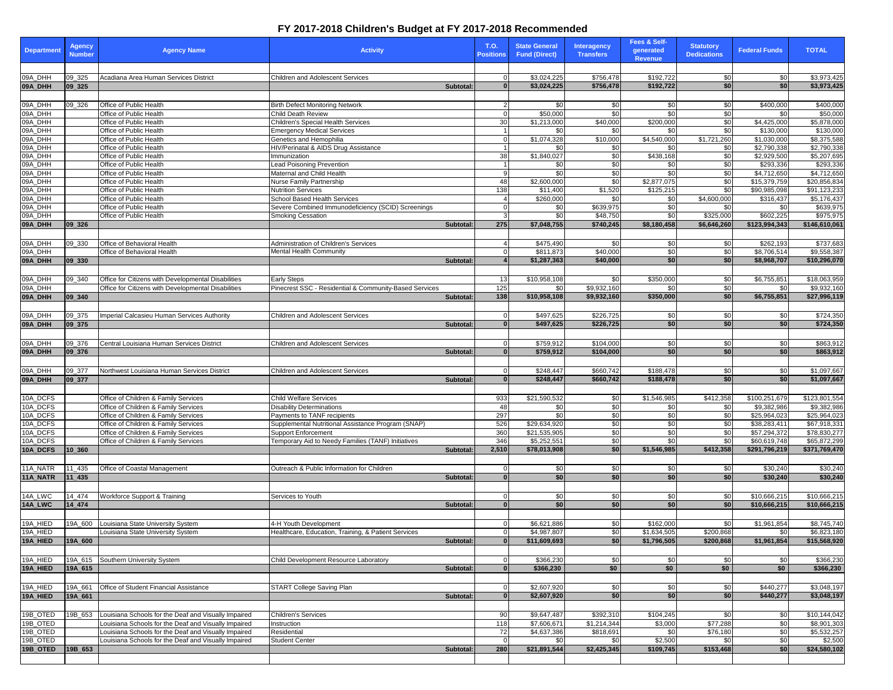## **FY 2017-2018 Children's Budget at FY 2017-2018 Recommended**

| Department           | <b>Agency</b><br><b>Number</b> | <b>Agency Name</b>                                                           | <b>Activity</b>                                                 | <b>T.O.</b><br><b>Positions</b> | <b>State General</b><br><b>Fund (Direct)</b> | <b>Interagency</b><br><b>Transfers</b> | Fees & Self-<br>generated<br><b>Revenue</b> | <b>Statutory</b><br><b>Dedications</b> | <b>Federal Funds</b>         | <b>TOTAL</b>                 |
|----------------------|--------------------------------|------------------------------------------------------------------------------|-----------------------------------------------------------------|---------------------------------|----------------------------------------------|----------------------------------------|---------------------------------------------|----------------------------------------|------------------------------|------------------------------|
|                      |                                |                                                                              |                                                                 |                                 |                                              |                                        |                                             |                                        |                              |                              |
| 09A_DHH              | 09_325                         | Acadiana Area Human Services District                                        | <b>Children and Adolescent Services</b>                         |                                 | \$3,024,225                                  | \$756,478                              | \$192,722                                   | \$0                                    | \$0                          | \$3,973,425                  |
| 09A_DHH              | 09 325                         |                                                                              | Subtotal:                                                       |                                 | \$3,024,225                                  | \$756,478                              | \$192,722                                   | \$0                                    | \$0 <sub>1</sub>             | \$3,973,425                  |
|                      | 09_326                         | Office of Public Health                                                      | <b>Birth Defect Monitoring Network</b>                          |                                 | \$0                                          | \$0                                    | \$0                                         | \$0                                    | \$400,000                    | \$400,000                    |
| 09A_DHH<br>09A_DHH   |                                | Office of Public Health                                                      | Child Death Review                                              |                                 | \$50,000                                     | \$0                                    | $\overline{30}$                             | \$0                                    | \$0                          | \$50,000                     |
| 09A_DHH              |                                | Office of Public Health                                                      | Children's Special Health Services                              | 30                              | \$1,213,000                                  | \$40,000                               | \$200,000                                   | \$0                                    | \$4,425,000                  | \$5,878,000                  |
|                      |                                | Office of Public Health                                                      | <b>Emergency Medical Services</b>                               |                                 | \$0                                          | \$0                                    | \$0                                         | $\overline{30}$                        | \$130,000                    | \$130,000                    |
| 09A_DHH              |                                | Office of Public Health                                                      | Genetics and Hemophilia                                         |                                 | \$1,074,328                                  | \$10,000                               | \$4,540,000                                 | \$1,721,260                            | \$1,030,000                  | \$8,375,588                  |
| 09A_DHH<br>09A_DHH   |                                | Office of Public Health                                                      | HIV/Perinatal & AIDS Drug Assistance                            |                                 | <b>SO</b>                                    | \$0                                    | \$0                                         | \$0                                    | \$2,790,338                  | \$2,790,338                  |
| 09A_DHH              |                                | Office of Public Health<br>Office of Public Health                           | Immunization<br><b>Lead Poisoning Prevention</b>                | 38                              | \$1,840,027<br> 30                           | \$0<br>\$0                             | \$438,168<br>\$0                            | \$0<br>\$0                             | \$2,929,500<br>\$293,336     | \$5,207,695<br>\$293,336     |
| 09A_DHH              |                                | Office of Public Health                                                      | Maternal and Child Health                                       |                                 | \$0                                          | \$0                                    | \$0                                         | \$0                                    | \$4,712,650                  | \$4,712,650                  |
| 09A_DHH              |                                | Office of Public Health                                                      | Nurse Family Partnership                                        | 48                              | \$2,600,000                                  | \$0                                    | \$2,877,075                                 | $\overline{30}$                        | \$15,379,759                 | \$20,856,834                 |
| 09A_DHH              |                                | Office of Public Health                                                      | <b>Nutrition Services</b>                                       | 138                             | \$11,400                                     | \$1,520                                | \$125,215                                   | \$0                                    | \$90,985,098                 | \$91,123,233                 |
| 09A_DHH              |                                | Office of Public Health                                                      | <b>School Based Health Services</b>                             |                                 | \$260,000                                    | \$0                                    | $\frac{1}{6}$                               | \$4,600,000                            | \$316,437                    | \$5,176,437                  |
| 09A_DHH<br>09A_DHH   |                                | Office of Public Health                                                      | Severe Combined Immunodeficiency (SCID) Screenings              |                                 | \$0<br>\$0                                   | \$639,975                              | \$0<br>$\sqrt{6}$                           | \$0                                    | \$0                          | \$639,975                    |
| 09A_DHH              | 09 326                         | Office of Public Health                                                      | <b>Smoking Cessation</b><br>Subtotal:                           | 275                             | \$7,048,755                                  | \$48,750<br>\$740,245                  | \$8,180,458                                 | \$325,000<br>\$6,646,260               | \$602,225<br>\$123,994,343   | \$975,975<br>\$146,610,061   |
|                      |                                |                                                                              |                                                                 |                                 |                                              |                                        |                                             |                                        |                              |                              |
|                      | $09 - 330$                     | Office of Behavioral Health                                                  | <b>Administration of Children's Services</b>                    |                                 | \$475,490                                    | \$0                                    | \$0                                         | \$0                                    | \$262,193                    | \$737,683                    |
| 09A_DHH<br>09A_DHH   |                                | Office of Behavioral Health                                                  | <b>Mental Health Community</b>                                  |                                 | \$811,873                                    | \$40,000                               | $\frac{6}{3}$                               | $\sqrt{6}$                             | \$8,706,514                  | \$9,558,387                  |
| 09A_DHH              | $ 09 - 330 $                   |                                                                              | <b>Subtotal:</b>                                                |                                 | \$1,287,363                                  | \$40,000                               | \$0                                         | \$0                                    | \$8,968,707                  | \$10,296,070                 |
|                      |                                |                                                                              |                                                                 |                                 |                                              |                                        |                                             |                                        |                              |                              |
| 09A_DHH              | 09_340                         | Office for Citizens with Developmental Disabilities                          | <b>Early Steps</b>                                              | -13                             | \$10,958,108                                 | \$0                                    | \$350,000                                   | \$0                                    | \$6,755,851                  | \$18,063,959                 |
| 09A_DHH              |                                | Office for Citizens with Developmental Disabilities                          | Pinecrest SSC - Residential & Community-Based Services          | $\overline{125}$                | <b>SO</b>                                    | \$9,932,160                            | \$0                                         | \$0                                    | \$0                          | \$9,932,160                  |
| 09A_DHH              | 09 340                         |                                                                              | Subtotal:                                                       | 138                             | \$10,958,108                                 | \$9,932,160                            | \$350,000                                   | \$0                                    | \$6,755,851                  | \$27,996,119                 |
|                      |                                |                                                                              |                                                                 |                                 |                                              |                                        |                                             |                                        |                              |                              |
| 09A_DHH<br>09A_DHH   | 09_375<br>09 375               | Imperial Calcasieu Human Services Authority                                  | <b>Children and Adolescent Services</b><br>Subtotal:            |                                 | \$497,625<br>\$497,625                       | \$226,725<br>\$226,725                 | \$0<br>sol                                  | \$0<br>\$0                             | \$0<br>\$0 <sub>1</sub>      | \$724,350<br>\$724,350       |
|                      |                                |                                                                              |                                                                 |                                 |                                              |                                        |                                             |                                        |                              |                              |
| 09A_DHH              | 09_376                         | Central Louisiana Human Services District                                    | <b>Children and Adolescent Services</b>                         |                                 | \$759,912                                    | \$104,000                              | \$0                                         | \$0                                    | \$0                          | \$863,912                    |
| 09A_DHH              | $ 09 - 376$                    |                                                                              | Subtotal:                                                       |                                 | \$759,912                                    | \$104,000                              | \$0                                         | \$0                                    | \$0                          | \$863,912                    |
|                      |                                |                                                                              |                                                                 |                                 |                                              |                                        |                                             |                                        |                              |                              |
| 09A_DHH              | 09_377                         | Northwest Louisiana Human Services District                                  | <b>Children and Adolescent Services</b>                         |                                 | \$248,447                                    | \$660,742                              | \$188,478                                   | \$0                                    | \$0                          | \$1,097,667                  |
| 09A_DHH              | 09 377                         |                                                                              | Subtotal:                                                       |                                 | \$248,447                                    | \$660,742                              | \$188,478                                   | \$0                                    | \$0                          | \$1,097,667                  |
|                      |                                |                                                                              |                                                                 |                                 |                                              |                                        |                                             |                                        |                              |                              |
| 10A_DCFS             |                                | Office of Children & Family Services                                         | <b>Child Welfare Services</b>                                   | 933                             | \$21,590,532                                 | \$0                                    | \$1,546,985                                 | \$412,358                              | \$100,251,679                | \$123,801,554                |
| 10A_DCFS<br>10A_DCFS |                                | Office of Children & Family Services<br>Office of Children & Family Services | <b>Disability Determinations</b><br>Payments to TANF recipients | -48<br>297                      | \$0<br>\$0                                   | \$0<br>\$0                             | \$0<br>$\sqrt{30}$                          | \$0<br>$\sqrt{50}$                     | \$9,382,986<br>\$25,964,023  | \$9,382,986<br>\$25,964,023  |
| 10A_DCFS             |                                | Office of Children & Family Services                                         | Supplemental Nutritional Assistance Program (SNAP)              | 526                             | \$29,634,920                                 | \$0                                    | $\frac{6}{3}$                               | \$0                                    | \$38,283,411                 | \$67,918,331                 |
| 10A_DCFS             |                                | Office of Children & Family Services                                         | <b>Support Enforcement</b>                                      | 360                             | \$21,535,905                                 | $\overline{50}$                        | $\frac{1}{6}$                               | $\overline{30}$                        | \$57,294,372                 | \$78,830,277                 |
| 10A_DCFS             |                                | Office of Children & Family Services                                         | Temporary Aid to Needy Families (TANF) Initiatives              | 346                             | \$5,252,551                                  | \$0                                    | $\sqrt{6}$                                  | \$0                                    | \$60,619,748                 | \$65,872,299                 |
| 10A_DCFS             | 10 360                         |                                                                              | Subtotal:                                                       | 2,510                           | \$78,013,908                                 | \$0                                    | \$1,546,985                                 | \$412,358                              | \$291,796,219                | \$371,769,470                |
|                      |                                |                                                                              |                                                                 |                                 |                                              |                                        |                                             |                                        |                              |                              |
| 11A_NATR             | 11_435                         | Office of Coastal Management                                                 | Outreach & Public Information for Children                      |                                 | 30                                           | \$0                                    | \$0                                         | \$0                                    | \$30,240                     | \$30,240                     |
| 11A_NATR             | $11 - 435$                     |                                                                              | Subtotal:                                                       |                                 | \$0                                          | \$0                                    | \$0                                         | \$0                                    | \$30,240                     | \$30,240                     |
|                      |                                |                                                                              |                                                                 |                                 |                                              |                                        |                                             |                                        |                              |                              |
| 14A_LWC<br>14A_LWC   | 14_474<br>14 474               | Workforce Support & Training                                                 | Services to Youth<br>Subtotal:                                  |                                 | 30 <br>\$0                                   | \$0<br>\$0                             | \$0<br>\$0                                  | \$0<br>\$0                             | \$10,666,215<br>\$10,666,215 | \$10,666,215<br>\$10,666,215 |
|                      |                                |                                                                              |                                                                 |                                 |                                              |                                        |                                             |                                        |                              |                              |
| 19A_HIED             | 19A_600                        | Louisiana State University System                                            | 4-H Youth Development                                           |                                 | \$6,621,886                                  | \$0                                    | \$162,000                                   | \$0                                    | \$1,961,854                  | \$8,745,740                  |
| 19A_HIED             |                                | Louisiana State University System                                            | Healthcare, Education, Training, & Patient Services             |                                 | \$4,987,807                                  | \$0                                    | \$1,634,505                                 | \$200,868                              | \$0                          | \$6,823,180                  |
| 19A_HIED             | 19A_600                        |                                                                              | Subtotal:                                                       |                                 | \$11,609,693                                 | \$0 <sub>l</sub>                       | \$1,796,505                                 | \$200,868                              | \$1,961,854                  | \$15,568,920                 |
|                      |                                |                                                                              |                                                                 |                                 |                                              |                                        |                                             |                                        |                              |                              |
| 19A_HIED             |                                | 19A_615 Southern University System                                           | Child Development Resource Laboratory                           |                                 | \$366,230                                    | \$0                                    | \$0                                         | \$0                                    | \$0                          | \$366,230                    |
| 19A_HIED             | 19A_615                        |                                                                              | <b>Subtotal:</b>                                                |                                 | \$366,230                                    | $\overline{50}$                        | \$0                                         | \$0                                    | \$0                          | \$366,230                    |
|                      |                                |                                                                              |                                                                 |                                 |                                              |                                        |                                             |                                        |                              |                              |
| 19A_HIED             | 19A_661                        | <b>Office of Student Financial Assistance</b>                                | <b>START College Saving Plan</b>                                |                                 | \$2,607,920                                  | \$0                                    | \$0                                         | \$0                                    | \$440,277                    | \$3,048,197                  |
| 19A_HIED             | 19A_661                        |                                                                              | Subtotal:                                                       |                                 | \$2,607,920                                  | \$0                                    | \$0                                         | \$0                                    | \$440,277                    | \$3,048,197                  |
| 19B_OTED             | 19B_653                        | Louisiana Schools for the Deaf and Visually Impaired                         | Children's Services                                             | 90                              | \$9,647,487                                  | \$392,310                              | \$104,245                                   | \$0                                    | \$0                          | \$10,144,042                 |
| 19B_OTED             |                                | Louisiana Schools for the Deaf and Visually Impaired                         | Instruction                                                     | 118                             | \$7,606,671                                  | \$1,214,344                            | \$3,000                                     | \$77,288                               | \$0                          | \$8,901,303                  |
| 19B_OTED             |                                | Louisiana Schools for the Deaf and Visually Impaired                         | Residential                                                     | 72                              | \$4,637,386                                  | \$818,691                              | \$0                                         | \$76,180                               | \$0                          | \$5,532,257                  |
| 19B_OTED             |                                | Louisiana Schools for the Deaf and Visually Impaired                         | <b>Student Center</b>                                           |                                 | \$0                                          | \$0                                    | \$2,500                                     | \$0                                    | \$0                          | \$2,500                      |
| 19B_OTED             | $19B_653$                      |                                                                              | Subtotal:                                                       | 280                             | \$21,891,544                                 | \$2,425,345                            | \$109,745                                   | \$153,468                              | \$0                          | \$24,580,102                 |
|                      |                                |                                                                              |                                                                 |                                 |                                              |                                        |                                             |                                        |                              |                              |